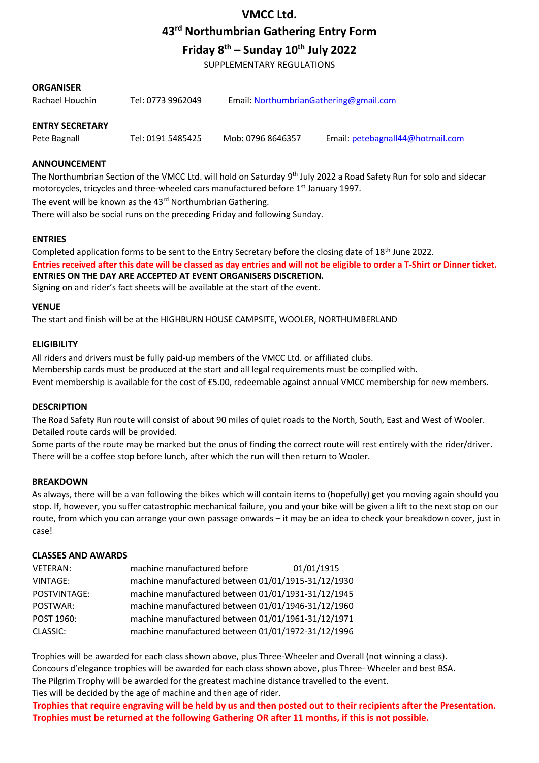# **VMCC Ltd.**

**43rd Northumbrian Gathering Entry Form** 

**Friday 8 th – Sunday 10th July 2022** 

SUPPLEMENTARY REGULATIONS

## **ORGANISER**

| Rachael Houchin | Tel: 0773 9962049 | Email: NorthumbrianGathering@gmail.com |
|-----------------|-------------------|----------------------------------------|
|                 |                   |                                        |

# **ENTRY SECRETARY**

Pete Bagnall Tel: 0191 5485425 Mob: 0796 8646357 Email: petebagnall44@hotmail.com

#### **ANNOUNCEMENT**

The Northumbrian Section of the VMCC Ltd. will hold on Saturday 9<sup>th</sup> July 2022 a Road Safety Run for solo and sidecar motorcycles, tricycles and three-wheeled cars manufactured before 1st January 1997. The event will be known as the 43<sup>rd</sup> Northumbrian Gathering. There will also be social runs on the preceding Friday and following Sunday.

**ENTRIES** 

Completed application forms to be sent to the Entry Secretary before the closing date of 18<sup>th</sup> June 2022. **Entries received after this date will be classed as day entries and will not be eligible to order a T-Shirt or Dinner ticket.** 

**ENTRIES ON THE DAY ARE ACCEPTED AT EVENT ORGANISERS DISCRETION.** 

Signing on and rider's fact sheets will be available at the start of the event.

#### **VENUE**

The start and finish will be at the HIGHBURN HOUSE CAMPSITE, WOOLER, NORTHUMBERLAND

#### **ELIGIBILITY**

All riders and drivers must be fully paid-up members of the VMCC Ltd. or affiliated clubs. Membership cards must be produced at the start and all legal requirements must be complied with. Event membership is available for the cost of £5.00, redeemable against annual VMCC membership for new members.

#### **DESCRIPTION**

The Road Safety Run route will consist of about 90 miles of quiet roads to the North, South, East and West of Wooler. Detailed route cards will be provided.

Some parts of the route may be marked but the onus of finding the correct route will rest entirely with the rider/driver. There will be a coffee stop before lunch, after which the run will then return to Wooler.

## **BREAKDOWN**

As always, there will be a van following the bikes which will contain items to (hopefully) get you moving again should you stop. If, however, you suffer catastrophic mechanical failure, you and your bike will be given a lift to the next stop on our route, from which you can arrange your own passage onwards – it may be an idea to check your breakdown cover, just in case!

#### **CLASSES AND AWARDS**

| VETERAN:        | machine manufactured before                        | 01/01/1915 |
|-----------------|----------------------------------------------------|------------|
| <b>VINTAGE:</b> | machine manufactured between 01/01/1915-31/12/1930 |            |
| POSTVINTAGE:    | machine manufactured between 01/01/1931-31/12/1945 |            |
| POSTWAR:        | machine manufactured between 01/01/1946-31/12/1960 |            |
| POST 1960:      | machine manufactured between 01/01/1961-31/12/1971 |            |
| CLASSIC:        | machine manufactured between 01/01/1972-31/12/1996 |            |

Trophies will be awarded for each class shown above, plus Three-Wheeler and Overall (not winning a class). Concours d'elegance trophies will be awarded for each class shown above, plus Three- Wheeler and best BSA. The Pilgrim Trophy will be awarded for the greatest machine distance travelled to the event. Ties will be decided by the age of machine and then age of rider.

**Trophies that require engraving will be held by us and then posted out to their recipients after the Presentation. Trophies must be returned at the following Gathering OR after 11 months, if this is not possible.**